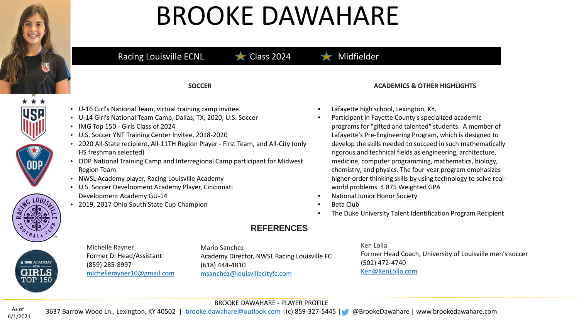

# BROOKE DAWAHARE

### Racing Louisville ECNL  $\bigstar$  Class 2024 Midfielder

**SOCCER**

- U-16 Girl's National Team, virtual training camp invitee.
- U-14 Girl's National Team Camp, Dallas, TX, 2020, U.S. Soccer
- IMG Top 150 Girls Class of 2024
- U.S. Soccer YNT Training Center Invitee, 2018-2020
- 2020 All-State recipient, All-11TH Region Player First Team, and All-City (only HS freshman selected)
- ODP National Training Camp and Interregional Camp participant for Midwest Region Team.
- NWSL Academy player, Racing Louisville Academy
- U.S. Soccer Development Academy Player, Cincinnati Development Academy GU-14
- 2019, 2017 Ohio South State Cup Champion

### **ACADEMICS & OTHER HIGHLIGHTS**

- Lafayette high school, Lexington, KY.
	- Participant in Fayette County's specialized academic programs for "gifted and talented" students. A member of Lafayette's Pre-Engineering Program, which is designed to develop the skills needed to succeed in such mathematically rigorous and technical fields as engineering, architecture, medicine, computer programming, mathematics, biology, chemistry, and physics. The four-year program emphasizes higher-order thinking skills by using technology to solve realworld problems. 4.875 Weighted GPA
- National Junior Honor Society
- Beta Club
- The Duke University Talent Identification Program Recipient

### Michelle Rayner Former DI Head/Assistant (859) 285-8997 [michellerayner10@gmail.com](mailto:michellerayner10@gmail.com)

Mario Sanchez Academy Director, NWSL Racing Louisville FC (618) 444-4810 [msanchez@louisvillecityfc.com](mailto:msanchez@louisvillecityfc.com)

**REFERENCES**

Ken Lolla Former Head Coach, University of Louisville men's soccer (502) 472-4740 [Ken@KenLolla.com](mailto:Ken@KenLolla.com)

### BROOKE DAWAHARE - PLAYER PROFILE

3637 Barrow Wood Ln., Lexington, KY 40502 | [brooke.dawahare@outlook.com](mailto:brooke.dawahare@outlook.com) |(c) 859-327-5445 | @BrookeDawahare | www.brookedawahare.com As of 6/1/2021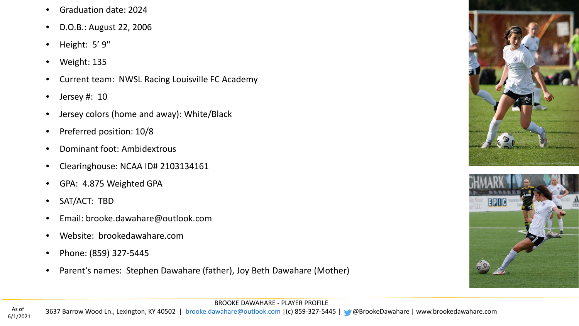- Graduation date: 2024
- D.O.B.: August 22, 2006
- Height: 5' 9"
- Weight: 135
- Current team: NWSL Racing Louisville FC Academy
- Jersey #: 10
- Jersey colors (home and away): White/Black
- Preferred position: 10/8
- Dominant foot: Ambidextrous
- Clearinghouse: NCAA ID# 2103134161
- GPA: 4.875 Weighted GPA
- SAT/ACT: TBD
- Email: brooke.dawahare@outlook.com
- Website: brookedawahare.com
- Phone: (859) 327-5445
- Parent's names: Stephen Dawahare (father), Joy Beth Dawahare (Mother)





BROOKE DAWAHARE - PLAYER PROFILE